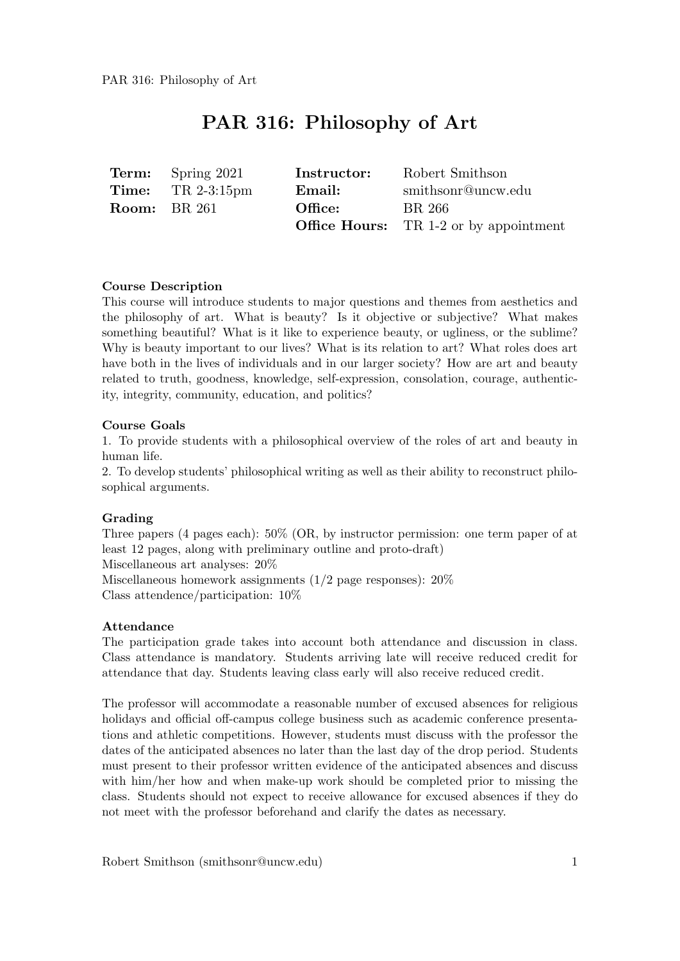## PAR 316: Philosophy of Art

|                     | <b>Term:</b> Spring 2021    | Instructor: | Robert Smithson                               |
|---------------------|-----------------------------|-------------|-----------------------------------------------|
|                     | <b>Time:</b> TR $2-3:15$ pm | Email:      | smithsonr@uncw.edu                            |
| <b>Room:</b> BR 261 |                             | Office:     | BR 266                                        |
|                     |                             |             | <b>Office Hours:</b> TR 1-2 or by appointment |

#### Course Description

This course will introduce students to major questions and themes from aesthetics and the philosophy of art. What is beauty? Is it objective or subjective? What makes something beautiful? What is it like to experience beauty, or ugliness, or the sublime? Why is beauty important to our lives? What is its relation to art? What roles does art have both in the lives of individuals and in our larger society? How are art and beauty related to truth, goodness, knowledge, self-expression, consolation, courage, authenticity, integrity, community, education, and politics?

#### Course Goals

1. To provide students with a philosophical overview of the roles of art and beauty in human life.

2. To develop students' philosophical writing as well as their ability to reconstruct philosophical arguments.

#### Grading

Three papers (4 pages each): 50% (OR, by instructor permission: one term paper of at least 12 pages, along with preliminary outline and proto-draft) Miscellaneous art analyses: 20% Miscellaneous homework assignments (1/2 page responses): 20% Class attendence/participation: 10%

#### Attendance

The participation grade takes into account both attendance and discussion in class. Class attendance is mandatory. Students arriving late will receive reduced credit for attendance that day. Students leaving class early will also receive reduced credit.

The professor will accommodate a reasonable number of excused absences for religious holidays and official off-campus college business such as academic conference presentations and athletic competitions. However, students must discuss with the professor the dates of the anticipated absences no later than the last day of the drop period. Students must present to their professor written evidence of the anticipated absences and discuss with him/her how and when make-up work should be completed prior to missing the class. Students should not expect to receive allowance for excused absences if they do not meet with the professor beforehand and clarify the dates as necessary.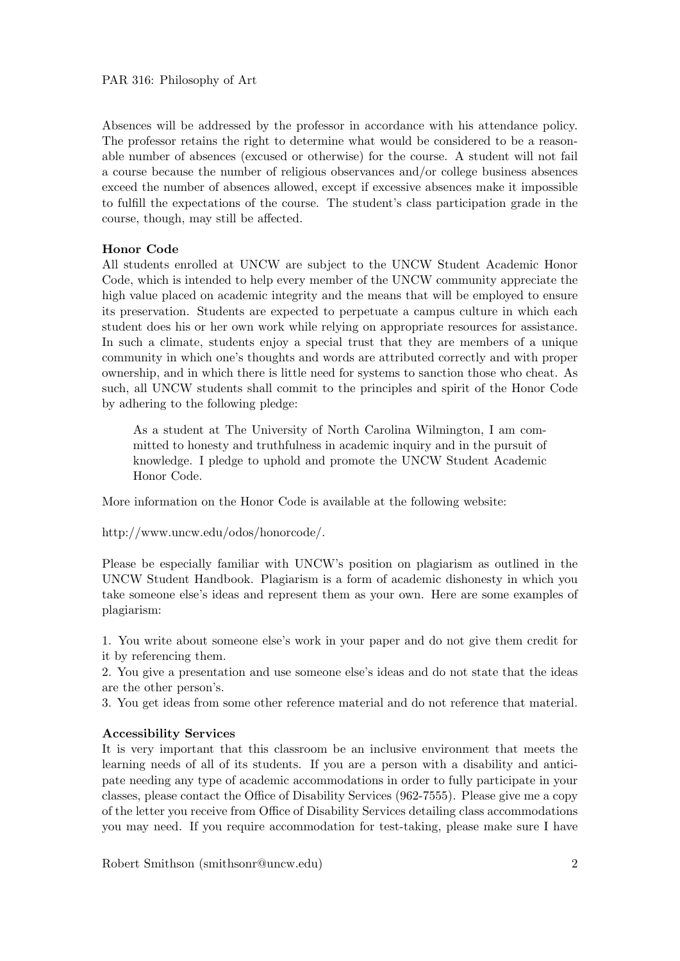Absences will be addressed by the professor in accordance with his attendance policy. The professor retains the right to determine what would be considered to be a reasonable number of absences (excused or otherwise) for the course. A student will not fail a course because the number of religious observances and/or college business absences exceed the number of absences allowed, except if excessive absences make it impossible to fulfill the expectations of the course. The student's class participation grade in the course, though, may still be affected.

### Honor Code

All students enrolled at UNCW are subject to the UNCW Student Academic Honor Code, which is intended to help every member of the UNCW community appreciate the high value placed on academic integrity and the means that will be employed to ensure its preservation. Students are expected to perpetuate a campus culture in which each student does his or her own work while relying on appropriate resources for assistance. In such a climate, students enjoy a special trust that they are members of a unique community in which one's thoughts and words are attributed correctly and with proper ownership, and in which there is little need for systems to sanction those who cheat. As such, all UNCW students shall commit to the principles and spirit of the Honor Code by adhering to the following pledge:

As a student at The University of North Carolina Wilmington, I am committed to honesty and truthfulness in academic inquiry and in the pursuit of knowledge. I pledge to uphold and promote the UNCW Student Academic Honor Code.

More information on the Honor Code is available at the following website:

http://www.uncw.edu/odos/honorcode/.

Please be especially familiar with UNCW's position on plagiarism as outlined in the UNCW Student Handbook. Plagiarism is a form of academic dishonesty in which you take someone else's ideas and represent them as your own. Here are some examples of plagiarism:

1. You write about someone else's work in your paper and do not give them credit for it by referencing them.

2. You give a presentation and use someone else's ideas and do not state that the ideas are the other person's.

3. You get ideas from some other reference material and do not reference that material.

#### Accessibility Services

It is very important that this classroom be an inclusive environment that meets the learning needs of all of its students. If you are a person with a disability and anticipate needing any type of academic accommodations in order to fully participate in your classes, please contact the Office of Disability Services (962-7555). Please give me a copy of the letter you receive from Office of Disability Services detailing class accommodations you may need. If you require accommodation for test-taking, please make sure I have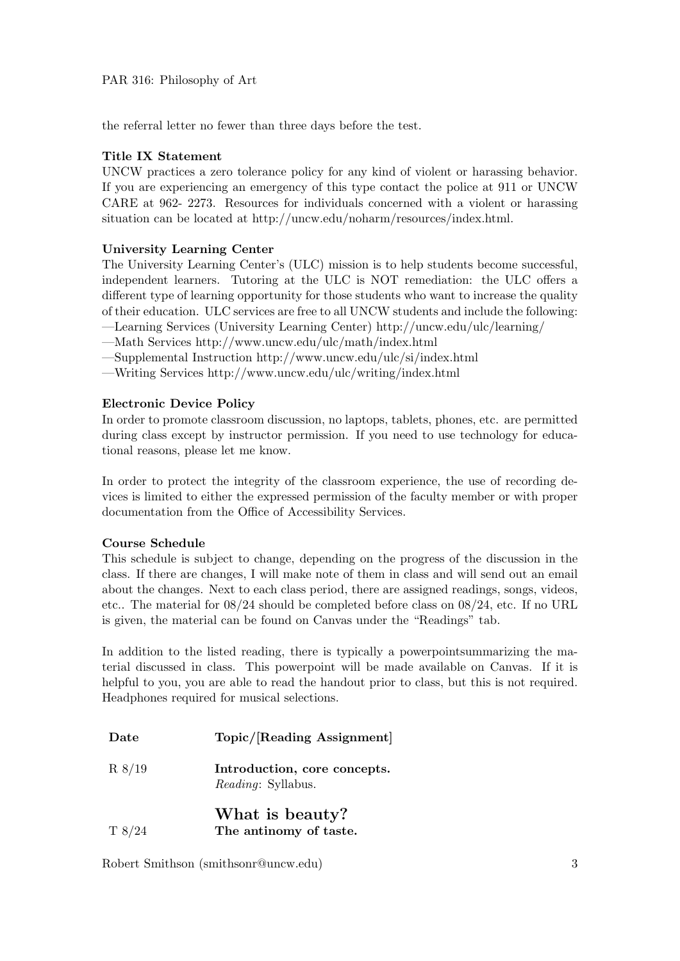the referral letter no fewer than three days before the test.

## Title IX Statement

UNCW practices a zero tolerance policy for any kind of violent or harassing behavior. If you are experiencing an emergency of this type contact the police at 911 or UNCW CARE at 962- 2273. Resources for individuals concerned with a violent or harassing situation can be located at http://uncw.edu/noharm/resources/index.html.

## University Learning Center

The University Learning Center's (ULC) mission is to help students become successful, independent learners. Tutoring at the ULC is NOT remediation: the ULC offers a different type of learning opportunity for those students who want to increase the quality of their education. ULC services are free to all UNCW students and include the following:

—Learning Services (University Learning Center) http://uncw.edu/ulc/learning/

—Math Services http://www.uncw.edu/ulc/math/index.html

—Supplemental Instruction http://www.uncw.edu/ulc/si/index.html

—Writing Services http://www.uncw.edu/ulc/writing/index.html

## Electronic Device Policy

In order to promote classroom discussion, no laptops, tablets, phones, etc. are permitted during class except by instructor permission. If you need to use technology for educational reasons, please let me know.

In order to protect the integrity of the classroom experience, the use of recording devices is limited to either the expressed permission of the faculty member or with proper documentation from the Office of Accessibility Services.

## Course Schedule

This schedule is subject to change, depending on the progress of the discussion in the class. If there are changes, I will make note of them in class and will send out an email about the changes. Next to each class period, there are assigned readings, songs, videos, etc.. The material for 08/24 should be completed before class on 08/24, etc. If no URL is given, the material can be found on Canvas under the "Readings" tab.

In addition to the listed reading, there is typically a powerpointsummarizing the material discussed in class. This powerpoint will be made available on Canvas. If it is helpful to you, you are able to read the handout prior to class, but this is not required. Headphones required for musical selections.

| Date |  | Topic/[Reading Assignment] |  |
|------|--|----------------------------|--|
|      |  |                            |  |

R 8/19 Introduction, core concepts. Reading: Syllabus.

# What is beauty?

T 8/24 The antinomy of taste.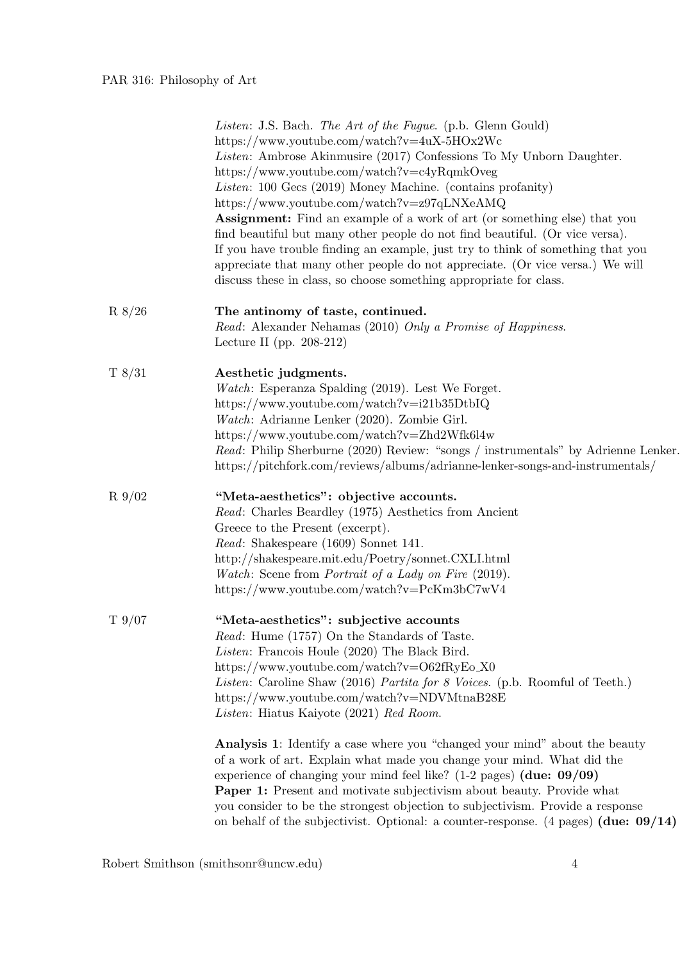|           | Listen: J.S. Bach. The Art of the Fugue. (p.b. Glenn Gould)<br>https://www.youtube.com/watch?v=4uX-5HOx2Wc<br><i>Listen</i> : Ambrose Akinmusire (2017) Confessions To My Unborn Daughter.<br>https://www.youtube.com/watch?v=c4yRqmkOveg<br>Listen: 100 Gecs (2019) Money Machine. (contains profanity)<br>https://www.youtube.com/watch?v=z97qLNXeAMQ<br>Assignment: Find an example of a work of art (or something else) that you<br>find beautiful but many other people do not find beautiful. (Or vice versa).<br>If you have trouble finding an example, just try to think of something that you<br>appreciate that many other people do not appreciate. (Or vice versa.) We will<br>discuss these in class, so choose something appropriate for class. |
|-----------|----------------------------------------------------------------------------------------------------------------------------------------------------------------------------------------------------------------------------------------------------------------------------------------------------------------------------------------------------------------------------------------------------------------------------------------------------------------------------------------------------------------------------------------------------------------------------------------------------------------------------------------------------------------------------------------------------------------------------------------------------------------|
| R 8/26    | The antinomy of taste, continued.<br>Read: Alexander Nehamas (2010) Only a Promise of Happiness.<br>Lecture II (pp. $208-212$ )                                                                                                                                                                                                                                                                                                                                                                                                                                                                                                                                                                                                                                |
| T8/31     | Aesthetic judgments.<br>Watch: Esperanza Spalding (2019). Lest We Forget.<br>https://www.youtube.com/watch?v=i21b35DtbIQ<br>Watch: Adrianne Lenker (2020). Zombie Girl.<br>https://www.youtube.com/watch?v=Zhd2Wfk6l4w<br>Read: Philip Sherburne (2020) Review: "songs / instrumentals" by Adrienne Lenker.<br>https://pitchfork.com/reviews/albums/adrianne-lenker-songs-and-instrumentals/                                                                                                                                                                                                                                                                                                                                                                   |
| $R\,9/02$ | "Meta-aesthetics": objective accounts.<br>Read: Charles Beardley (1975) Aesthetics from Ancient<br>Greece to the Present (excerpt).<br>Read: Shakespeare (1609) Sonnet 141.<br>http://shakespeare.mit.edu/Poetry/sonnet.CXLI.html<br>Watch: Scene from Portrait of a Lady on Fire (2019).<br>https://www.youtube.com/watch?v=PcKm3bC7wV4                                                                                                                                                                                                                                                                                                                                                                                                                       |
| T9/07     | "Meta-aesthetics": subjective accounts<br>Read: Hume (1757) On the Standards of Taste.<br>Listen: Francois Houle (2020) The Black Bird.<br>https://www.youtube.com/watch?v=O62fRyEo_X0<br>Listen: Caroline Shaw (2016) Partita for 8 Voices. (p.b. Roomful of Teeth.)<br>https://www.youtube.com/watch?v=NDVMtnaB28E<br>Listen: Hiatus Kaiyote (2021) Red Room.                                                                                                                                                                                                                                                                                                                                                                                                |
|           | Analysis 1: Identify a case where you "changed your mind" about the beauty<br>of a work of art. Explain what made you change your mind. What did the<br>experience of changing your mind feel like? $(1-2 \text{ pages})$ (due: 09/09)<br><b>Paper 1:</b> Present and motivate subjectivism about beauty. Provide what<br>you consider to be the strongest objection to subjectivism. Provide a response<br>on behalf of the subjectivist. Optional: a counter-response. $(4 \text{ pages})$ (due: $09/14$ )                                                                                                                                                                                                                                                   |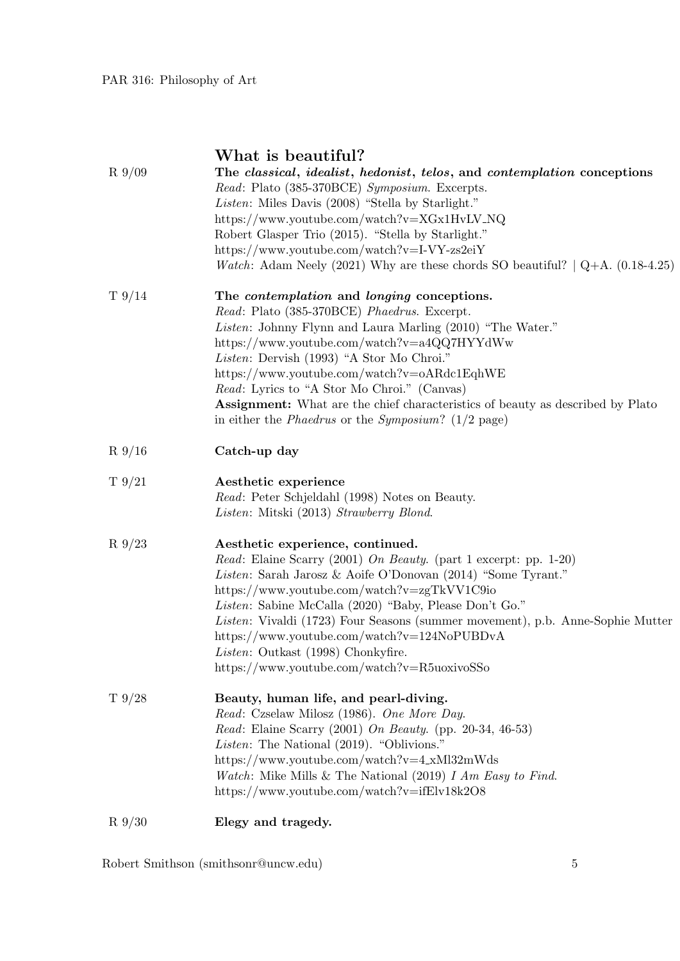| $R\,9/09$       | What is beautiful?<br>The classical, idealist, hedonist, telos, and contemplation conceptions<br>Read: Plato (385-370BCE) Symposium. Excerpts.<br>Listen: Miles Davis (2008) "Stella by Starlight."<br>https://www.youtube.com/watch?v=XGx1HvLV_NQ<br>Robert Glasper Trio (2015). "Stella by Starlight."<br>https://www.youtube.com/watch?v=I-VY-zs2eiY<br><i>Watch</i> : Adam Neely (2021) Why are these chords SO beautiful? $\left[ Q + A \right]$ . (0.18-4.25)                                                                     |
|-----------------|-----------------------------------------------------------------------------------------------------------------------------------------------------------------------------------------------------------------------------------------------------------------------------------------------------------------------------------------------------------------------------------------------------------------------------------------------------------------------------------------------------------------------------------------|
| $T\frac{9}{14}$ | The <i>contemplation</i> and <i>longing</i> conceptions.<br>Read: Plato (385-370BCE) Phaedrus. Excerpt.<br>Listen: Johnny Flynn and Laura Marling (2010) "The Water."<br>https://www.youtube.com/watch?v=a4QQ7HYYdWw<br>Listen: Dervish (1993) "A Stor Mo Chroi."<br>https://www.youtube.com/watch?v=oARdc1EqhWE<br><i>Read:</i> Lyrics to "A Stor Mo Chroi." (Canvas)<br><b>Assignment:</b> What are the chief characteristics of beauty as described by Plato<br>in either the <i>Phaedrus</i> or the <i>Symposium</i> ? $(1/2$ page) |
| $R_{9/16}$      | Catch-up day                                                                                                                                                                                                                                                                                                                                                                                                                                                                                                                            |
| $T\frac{9}{21}$ | Aesthetic experience<br>Read: Peter Schjeldahl (1998) Notes on Beauty.<br>Listen: Mitski (2013) Strawberry Blond.                                                                                                                                                                                                                                                                                                                                                                                                                       |
| $R_{9/23}$      | Aesthetic experience, continued.<br><i>Read:</i> Elaine Scarry (2001) On Beauty. (part 1 excerpt: pp. 1-20)<br>Listen: Sarah Jarosz & Aoife O'Donovan (2014) "Some Tyrant."<br>https://www.youtube.com/watch?v=zgTkVV1C9io<br>Listen: Sabine McCalla (2020) "Baby, Please Don't Go."<br>Listen: Vivaldi (1723) Four Seasons (summer movement), p.b. Anne-Sophie Mutter<br>https://www.youtube.com/watch?v=124NoPUBDvA<br>Listen: Outkast (1998) Chonkyfire.<br>https://www.youtube.com/watch?v=R5uoxivoSSo                              |
| T9/28           | Beauty, human life, and pearl-diving.<br>Read: Czselaw Milosz (1986). One More Day.<br>Read: Elaine Scarry (2001) On Beauty. (pp. 20-34, 46-53)<br>Listen: The National (2019). "Oblivions."<br>https://www.youtube.com/watch?v=4_xMl32mWds<br><i>Watch</i> : Mike Mills & The National (2019) $I Am Easy to Find$ .<br>https://www.youtube.com/watch?v=ifElv18k2O8                                                                                                                                                                     |
| $R_{9/30}$      | Elegy and tragedy.                                                                                                                                                                                                                                                                                                                                                                                                                                                                                                                      |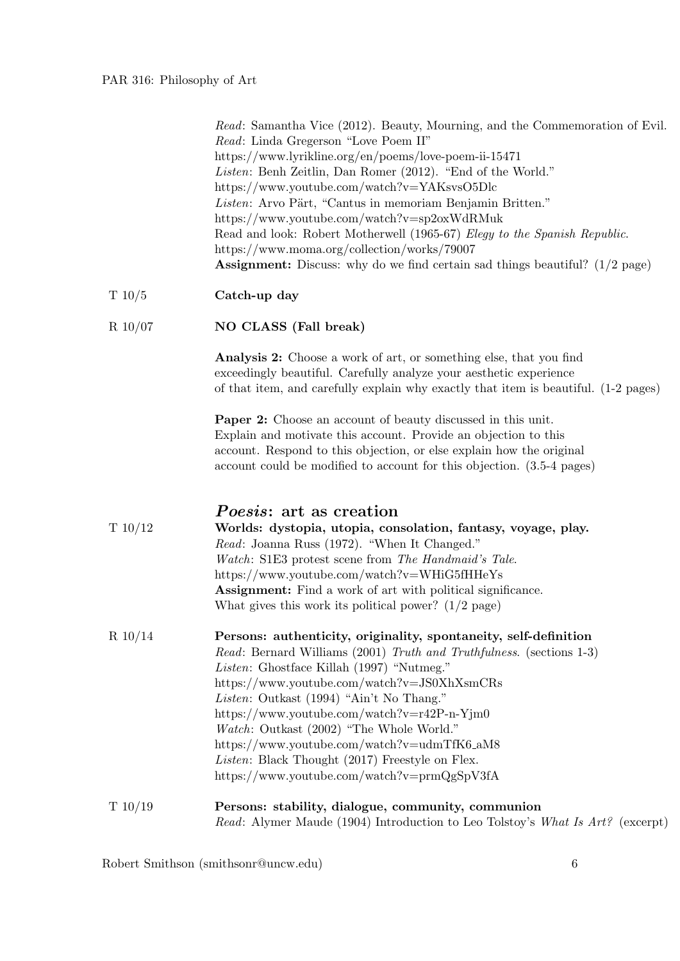Read: Samantha Vice (2012). Beauty, Mourning, and the Commemoration of Evil. Read: Linda Gregerson "Love Poem II" https://www.lyrikline.org/en/poems/love-poem-ii-15471 Listen: Benh Zeitlin, Dan Romer (2012). "End of the World." https://www.youtube.com/watch?v=YAKsvsO5Dlc Listen: Arvo Pärt, "Cantus in memoriam Benjamin Britten." https://www.youtube.com/watch?v=sp2oxWdRMuk Read and look: Robert Motherwell (1965-67) Elegy to the Spanish Republic. https://www.moma.org/collection/works/79007 Assignment: Discuss: why do we find certain sad things beautiful? (1/2 page)

#### T 10/5 **Catch-up day**

#### R 10/07 NO CLASS (Fall break)

Analysis 2: Choose a work of art, or something else, that you find exceedingly beautiful. Carefully analyze your aesthetic experience of that item, and carefully explain why exactly that item is beautiful. (1-2 pages)

Paper 2: Choose an account of beauty discussed in this unit. Explain and motivate this account. Provide an objection to this account. Respond to this objection, or else explain how the original account could be modified to account for this objection. (3.5-4 pages)

### Poesis: art as creation

| T10/12     | Worlds: dystopia, utopia, consolation, fantasy, voyage, play.       |  |  |
|------------|---------------------------------------------------------------------|--|--|
|            | Read: Joanna Russ (1972). "When It Changed."                        |  |  |
|            | <i>Watch:</i> S1E3 protest scene from <i>The Handmaid's Tale.</i>   |  |  |
|            | https://www.youtube.com/watch?v=WHiG5fHHeYs                         |  |  |
|            | <b>Assignment:</b> Find a work of art with political significance.  |  |  |
|            | What gives this work its political power? $(1/2 \text{ page})$      |  |  |
| $R\ 10/14$ | Persons: authenticity, originality, spontaneity, self-definition    |  |  |
|            |                                                                     |  |  |
|            | Read: Bernard Williams (2001) Truth and Truthfulness. (sections 1-3 |  |  |

Read: Bernard Williams (2001) Truth and Truthfulness. (sections 1-3) Listen: Ghostface Killah (1997) "Nutmeg." https://www.youtube.com/watch?v=JS0XhXsmCRs Listen: Outkast (1994) "Ain't No Thang." https://www.youtube.com/watch?v=r42P-n-Yjm0 Watch: Outkast (2002) "The Whole World." https://www.youtube.com/watch?v=udmTfK6 aM8 Listen: Black Thought (2017) Freestyle on Flex. https://www.youtube.com/watch?v=prmQgSpV3fA

T 10/19 Persons: stability, dialogue, community, communion Read: Alymer Maude (1904) Introduction to Leo Tolstoy's What Is Art? (excerpt)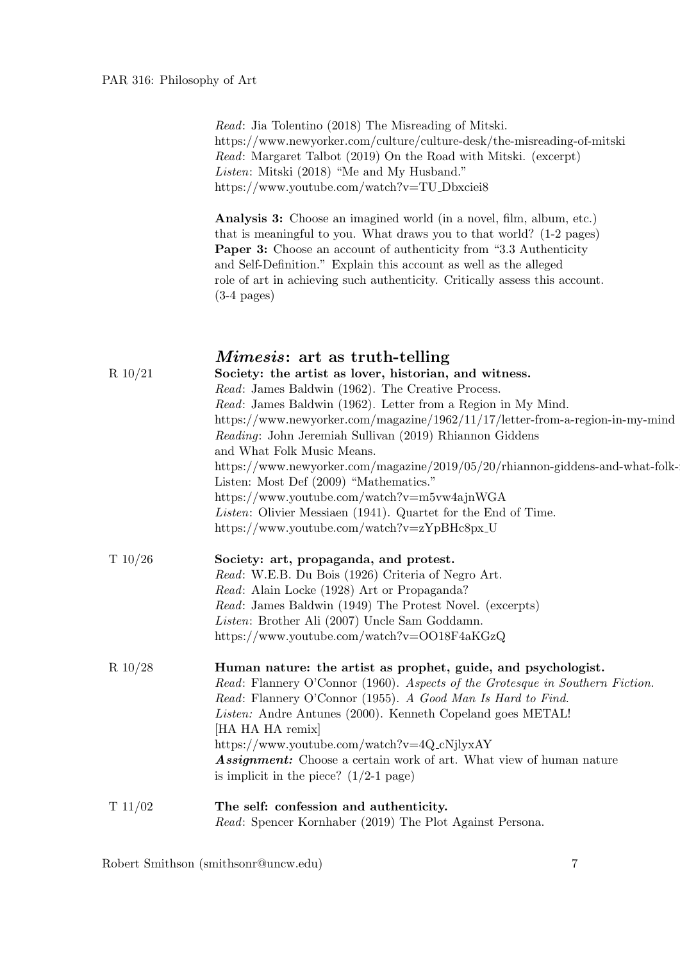Read: Jia Tolentino (2018) The Misreading of Mitski. https://www.newyorker.com/culture/culture-desk/the-misreading-of-mitski Read: Margaret Talbot (2019) On the Road with Mitski. (excerpt) Listen: Mitski (2018) "Me and My Husband." https://www.youtube.com/watch?v=TU Dbxciei8

Analysis 3: Choose an imagined world (in a novel, film, album, etc.) that is meaningful to you. What draws you to that world? (1-2 pages) Paper 3: Choose an account of authenticity from "3.3 Authenticity and Self-Definition." Explain this account as well as the alleged role of art in achieving such authenticity. Critically assess this account.  $(3-4 \text{ pages})$ 

## Mimesis: art as truth-telling R 10/21 Society: the artist as lover, historian, and witness. Read: James Baldwin (1962). The Creative Process. Read: James Baldwin (1962). Letter from a Region in My Mind. https://www.newyorker.com/magazine/1962/11/17/letter-from-a-region-in-my-mind Reading: John Jeremiah Sullivan (2019) Rhiannon Giddens and What Folk Music Means. https://www.newyorker.com/magazine/2019/05/20/rhiannon-giddens-and-what-folk-Listen: Most Def (2009) "Mathematics." https://www.youtube.com/watch?v=m5vw4ajnWGA Listen: Olivier Messiaen (1941). Quartet for the End of Time. https://www.youtube.com/watch?v=zYpBHc8px\_U T 10/26 Society: art, propaganda, and protest. Read: W.E.B. Du Bois (1926) Criteria of Negro Art. Read: Alain Locke (1928) Art or Propaganda? Read: James Baldwin (1949) The Protest Novel. (excerpts) Listen: Brother Ali (2007) Uncle Sam Goddamn. https://www.youtube.com/watch?v=OO18F4aKGzQ R 10/28 Human nature: the artist as prophet, guide, and psychologist. Read: Flannery O'Connor (1960). Aspects of the Grotesque in Southern Fiction. Read: Flannery O'Connor (1955). A Good Man Is Hard to Find. Listen: Andre Antunes (2000). Kenneth Copeland goes METAL! [HA HA HA remix] https://www.youtube.com/watch?v=4Q cNjlyxAY Assignment: Choose a certain work of art. What view of human nature is implicit in the piece?  $(1/2-1)$  page) T 11/02 The self: confession and authenticity. Read: Spencer Kornhaber (2019) The Plot Against Persona.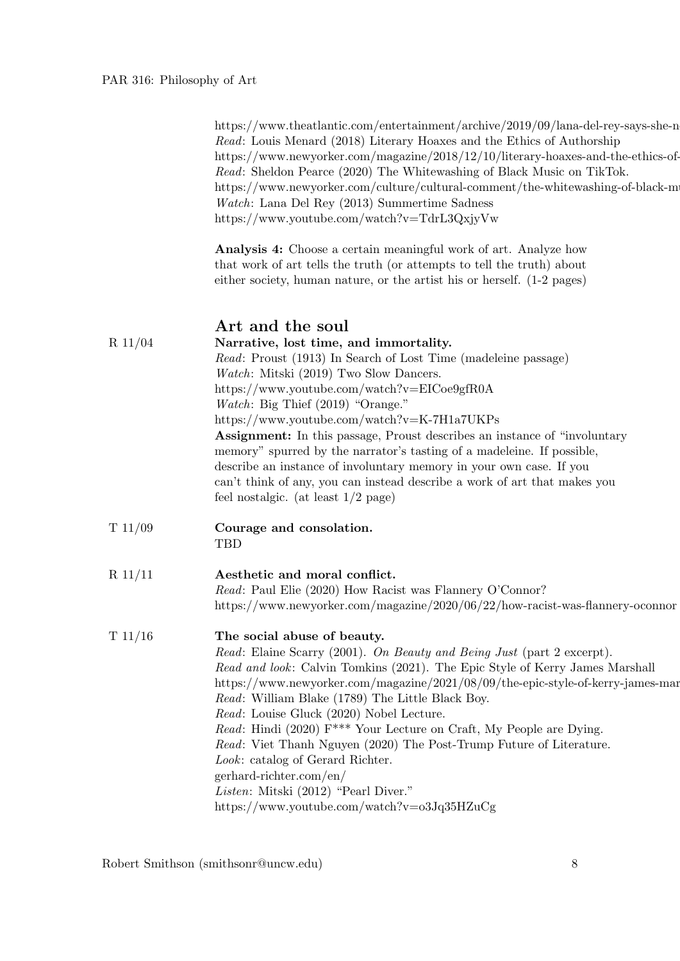https://www.theatlantic.com/entertainment/archive/2019/09/lana-del-rey-says-she-n Read: Louis Menard (2018) Literary Hoaxes and the Ethics of Authorship https://www.newyorker.com/magazine/2018/12/10/literary-hoaxes-and-the-ethics-of-Read: Sheldon Pearce (2020) The Whitewashing of Black Music on TikTok. https://www.newyorker.com/culture/cultural-comment/the-whitewashing-of-black-m Watch: Lana Del Rey (2013) Summertime Sadness https://www.youtube.com/watch?v=TdrL3QxjyVw

Analysis 4: Choose a certain meaningful work of art. Analyze how that work of art tells the truth (or attempts to tell the truth) about either society, human nature, or the artist his or herself. (1-2 pages)

| $R$ 11/04 | Art and the soul<br>Narrative, lost time, and immortality.<br>Read: Proust (1913) In Search of Lost Time (madeleine passage)<br>Watch: Mitski (2019) Two Slow Dancers.<br>https://www.youtube.com/watch?v=EICoe9gfR0A<br><i>Watch</i> : Big Thief $(2019)$ "Orange."<br>https://www.youtube.com/watch?v=K-7H1a7UKPs<br>Assignment: In this passage, Proust describes an instance of "involuntary<br>memory" spurred by the narrator's tasting of a madeleine. If possible,<br>describe an instance of involuntary memory in your own case. If you<br>can't think of any, you can instead describe a work of art that makes you<br>feel nostalgic. (at least $1/2$ page)                  |
|-----------|------------------------------------------------------------------------------------------------------------------------------------------------------------------------------------------------------------------------------------------------------------------------------------------------------------------------------------------------------------------------------------------------------------------------------------------------------------------------------------------------------------------------------------------------------------------------------------------------------------------------------------------------------------------------------------------|
| T 11/09   | Courage and consolation.<br>TBD                                                                                                                                                                                                                                                                                                                                                                                                                                                                                                                                                                                                                                                          |
| $R$ 11/11 | Aesthetic and moral conflict.<br>Read: Paul Elie (2020) How Racist was Flannery O'Connor?<br>https://www.newyorker.com/magazine/2020/06/22/how-racist-was-flannery-oconnor                                                                                                                                                                                                                                                                                                                                                                                                                                                                                                               |
| T 11/16   | The social abuse of beauty.<br>Read: Elaine Scarry (2001). On Beauty and Being Just (part 2 excerpt).<br>Read and look: Calvin Tomkins (2021). The Epic Style of Kerry James Marshall<br>https://www.newyorker.com/magazine/2021/08/09/the-epic-style-of-kerry-james-mar<br>Read: William Blake (1789) The Little Black Boy.<br>Read: Louise Gluck (2020) Nobel Lecture.<br>Read: Hindi (2020) F <sup>***</sup> Your Lecture on Craft, My People are Dying.<br>Read: Viet Thanh Nguyen (2020) The Post-Trump Future of Literature.<br>Look: catalog of Gerard Richter.<br>gerhard-richter.com/en/<br>Listen: Mitski (2012) "Pearl Diver."<br>https://www.youtube.com/watch?v=o3Jq35HZuCg |